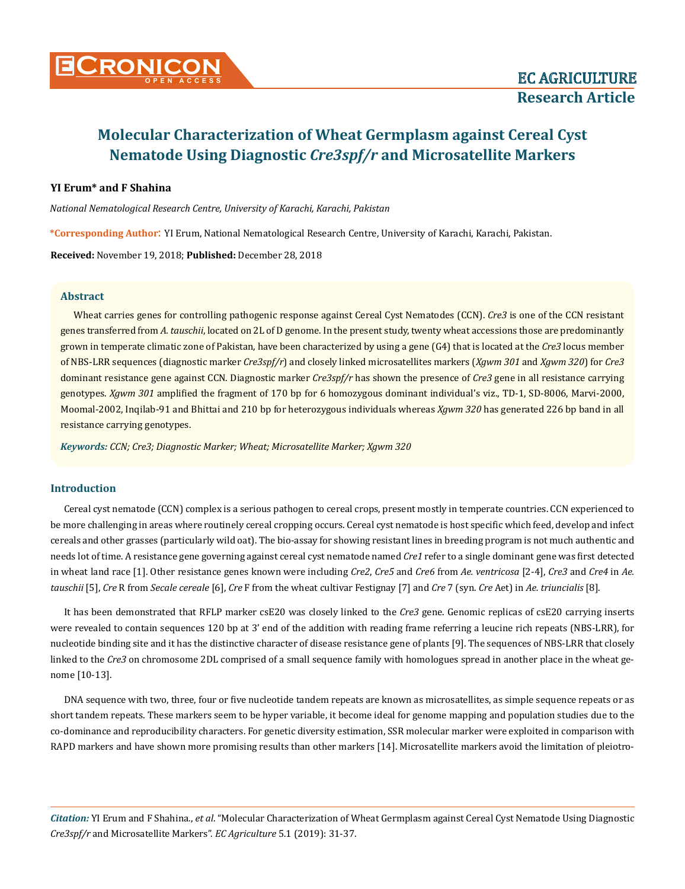

## **YI Erum\* and F Shahina**

*National Nematological Research Centre, University of Karachi, Karachi, Pakistan*

**\*Corresponding Author**: YI Erum, National Nematological Research Centre, University of Karachi, Karachi, Pakistan.

**Received:** November 19, 2018; **Published:** December 28, 2018

#### **Abstract**

Wheat carries genes for controlling pathogenic response against Cereal Cyst Nematodes (CCN). *Cre3* is one of the CCN resistant genes transferred from *A. tauschii*, located on 2L of D genome. In the present study, twenty wheat accessions those are predominantly grown in temperate climatic zone of Pakistan, have been characterized by using a gene (G4) that is located at the *Cre3* locus member of NBS-LRR sequences (diagnostic marker *Cre3spf/r*) and closely linked microsatellites markers (*Xgwm 301* and *Xgwm 320*) for *Cre3* dominant resistance gene against CCN. Diagnostic marker *Cre3spf/r* has shown the presence of *Cre3* gene in all resistance carrying genotypes. *Xgwm 301* amplified the fragment of 170 bp for 6 homozygous dominant individual's viz., TD-1, SD-8006, Marvi-2000, Moomal-2002, Inqilab-91 and Bhittai and 210 bp for heterozygous individuals whereas *Xgwm 320* has generated 226 bp band in all resistance carrying genotypes.

*Keywords: CCN; Cre3; Diagnostic Marker; Wheat; Microsatellite Marker; Xgwm 320*

## **Introduction**

Cereal cyst nematode (CCN) complex is a serious pathogen to cereal crops, present mostly in temperate countries. CCN experienced to be more challenging in areas where routinely cereal cropping occurs. Cereal cyst nematode is host specific which feed, develop and infect cereals and other grasses (particularly wild oat). The bio-assay for showing resistant lines in breeding program is not much authentic and needs lot of time. A resistance gene governing against cereal cyst nematode named *Cre1* refer to a single dominant gene was first detected in wheat land race [1]. Other resistance genes known were including *Cre2*, *Cre5* and *Cre6* from *Ae. ventricosa* [2-4], *Cre3* and *Cre4* in *Ae. tauschii* [5], *Cre* R from *Secale cereale* [6], *Cre* F from the wheat cultivar Festignay [7] and *Cre* 7 (syn. *Cre* Aet) in *Ae. triuncialis* [8].

It has been demonstrated that RFLP marker csE20 was closely linked to the *Cre3* gene. Genomic replicas of csE20 carrying inserts were revealed to contain sequences 120 bp at 3' end of the addition with reading frame referring a leucine rich repeats (NBS-LRR), for nucleotide binding site and it has the distinctive character of disease resistance gene of plants [9]. The sequences of NBS-LRR that closely linked to the *Cre3* on chromosome 2DL comprised of a small sequence family with homologues spread in another place in the wheat genome [10-13].

DNA sequence with two, three, four or five nucleotide tandem repeats are known as microsatellites, as simple sequence repeats or as short tandem repeats. These markers seem to be hyper variable, it become ideal for genome mapping and population studies due to the co-dominance and reproducibility characters. For genetic diversity estimation, SSR molecular marker were exploited in comparison with RAPD markers and have shown more promising results than other markers [14]. Microsatellite markers avoid the limitation of pleiotro-

*Citation:* YI Erum and F Shahina., *et al*. "Molecular Characterization of Wheat Germplasm against Cereal Cyst Nematode Using Diagnostic *Cre3spf/r* and Microsatellite Markers". *EC Agriculture* 5.1 (2019): 31-37.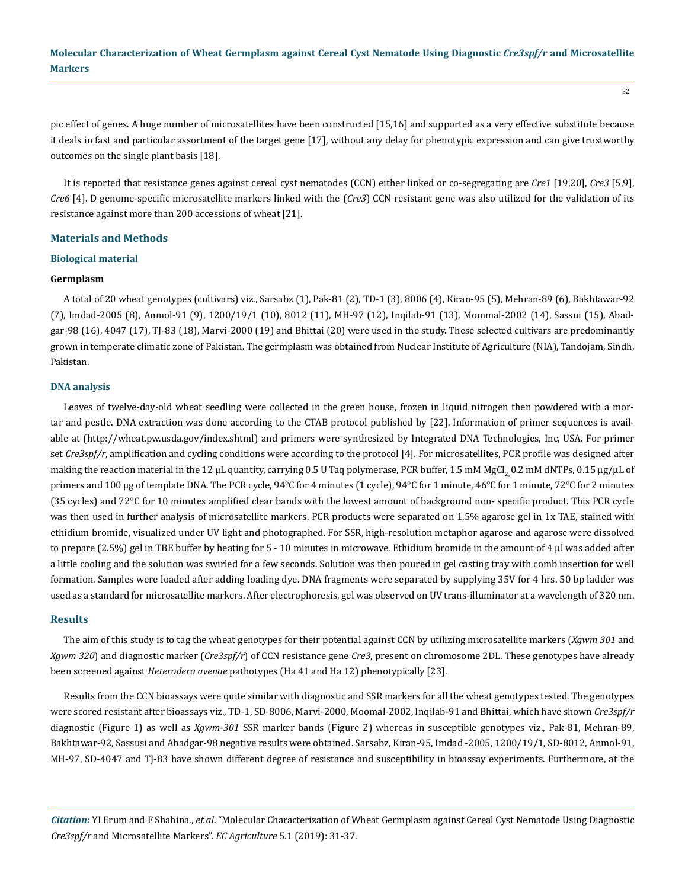pic effect of genes. A huge number of microsatellites have been constructed [15,16] and supported as a very effective substitute because it deals in fast and particular assortment of the target gene [17], without any delay for phenotypic expression and can give trustworthy outcomes on the single plant basis [18].

It is reported that resistance genes against cereal cyst nematodes (CCN) either linked or co-segregating are *Cre1* [19,20], *Cre3* [5,9], *Cre6* [4]. D genome-specific microsatellite markers linked with the (*Cre3*) CCN resistant gene was also utilized for the validation of its resistance against more than 200 accessions of wheat [21].

## **Materials and Methods**

### **Biological material**

#### **Germplasm**

A total of 20 wheat genotypes (cultivars) viz., Sarsabz (1), Pak-81 (2), TD-1 (3), 8006 (4), Kiran-95 (5), Mehran-89 (6), Bakhtawar-92 (7), Imdad-2005 (8), Anmol-91 (9), 1200/19/1 (10), 8012 (11), MH-97 (12), Inqilab-91 (13), Mommal-2002 (14), Sassui (15), Abadgar-98 (16), 4047 (17), TJ-83 (18), Marvi-2000 (19) and Bhittai (20) were used in the study. These selected cultivars are predominantly grown in temperate climatic zone of Pakistan. The germplasm was obtained from Nuclear Institute of Agriculture (NIA), Tandojam, Sindh, Pakistan.

#### **DNA analysis**

Leaves of twelve-day-old wheat seedling were collected in the green house, frozen in liquid nitrogen then powdered with a mortar and pestle. DNA extraction was done according to the CTAB protocol published by [22]. Information of primer sequences is available at ([http://wheat.pw.usda.gov/index.shtml\)](http://wheat.pw.usda.gov/index.shtml) and primers were synthesized by Integrated DNA Technologies, Inc, USA. For primer set *Cre3spf/r*, amplification and cycling conditions were according to the protocol [4]. For microsatellites, PCR profile was designed after making the reaction material in the 12 µL quantity, carrying 0.5 U Taq polymerase, PCR buffer, 1.5 mM MgCl<sub>2</sub>, 0.2 mM dNTPs, 0.15 µg/µL of primers and 100 µg of template DNA. The PCR cycle, 94°C for 4 minutes (1 cycle), 94°C for 1 minute, 46°C for 1 minute, 72°C for 2 minutes (35 cycles) and 72°C for 10 minutes amplified clear bands with the lowest amount of background non- specific product. This PCR cycle was then used in further analysis of microsatellite markers. PCR products were separated on 1.5% agarose gel in 1x TAE, stained with ethidium bromide, visualized under UV light and photographed. For SSR, high-resolution metaphor agarose and agarose were dissolved to prepare  $(2.5%)$  gel in TBE buffer by heating for  $5 - 10$  minutes in microwave. Ethidium bromide in the amount of 4  $\mu$ l was added after a little cooling and the solution was swirled for a few seconds. Solution was then poured in gel casting tray with comb insertion for well formation. Samples were loaded after adding loading dye. DNA fragments were separated by supplying 35V for 4 hrs. 50 bp ladder was used as a standard for microsatellite markers. After electrophoresis, gel was observed on UV trans-illuminator at a wavelength of 320 nm.

## **Results**

The aim of this study is to tag the wheat genotypes for their potential against CCN by utilizing microsatellite markers (*Xgwm 301* and *Xgwm 320*) and diagnostic marker (*Cre3spf/r*) of CCN resistance gene *Cre3*, present on chromosome 2DL. These genotypes have already been screened against *Heterodera avenae* pathotypes (Ha 41 and Ha 12) phenotypically [23].

Results from the CCN bioassays were quite similar with diagnostic and SSR markers for all the wheat genotypes tested. The genotypes were scored resistant after bioassays viz., TD-1, SD-8006, Marvi-2000, Moomal-2002, Inqilab-91 and Bhittai, which have shown *Cre3spf/r* diagnostic (Figure 1) as well as *Xgwm-301* SSR marker bands (Figure 2) whereas in susceptible genotypes viz., Pak-81, Mehran-89, Bakhtawar-92, Sassusi and Abadgar-98 negative results were obtained. Sarsabz, Kiran-95, Imdad -2005, 1200/19/1, SD-8012, Anmol-91, MH-97, SD-4047 and TJ-83 have shown different degree of resistance and susceptibility in bioassay experiments. Furthermore, at the

*Citation:* YI Erum and F Shahina., *et al*. "Molecular Characterization of Wheat Germplasm against Cereal Cyst Nematode Using Diagnostic *Cre3spf/r* and Microsatellite Markers". *EC Agriculture* 5.1 (2019): 31-37.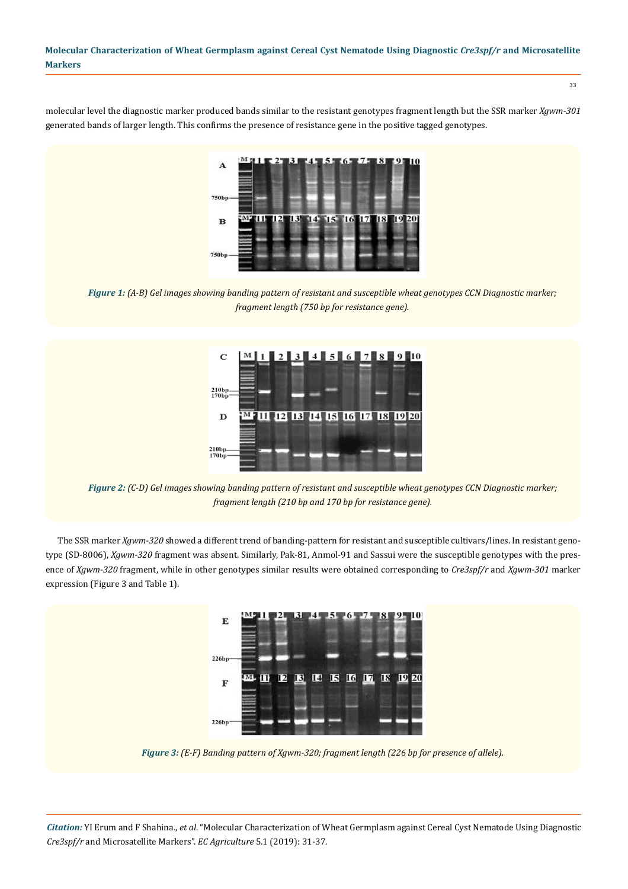molecular level the diagnostic marker produced bands similar to the resistant genotypes fragment length but the SSR marker *Xgwm-301* generated bands of larger length. This confirms the presence of resistance gene in the positive tagged genotypes.

A  $750<sub>b</sub>$  $\overline{12}$  $13$  $14 - 15$  $16$  $|17|$ 18  $19$  20  $\bf{B}$ 

*Figure 1: (A-B) Gel images showing banding pattern of resistant and susceptible wheat genotypes CCN Diagnostic marker; fragment length (750 bp for resistance gene).*

 $4$  5 6 7  $\mathbf C$  $\boldsymbol{Q}$  $\overline{2}$ 3 l 8 10  $^{210b}$ 11 12 13 14 15 16 17 18 19 20  $\mathbf{D}$  $\frac{210bp}{170bp}$ 

*Figure 2: (C-D) Gel images showing banding pattern of resistant and susceptible wheat genotypes CCN Diagnostic marker; fragment length (210 bp and 170 bp for resistance gene).*

The SSR marker *Xgwm-320* showed a different trend of banding-pattern for resistant and susceptible cultivars/lines. In resistant genotype (SD-8006), *Xgwm-320* fragment was absent. Similarly, Pak-81, Anmol-91 and Sassui were the susceptible genotypes with the presence of *Xgwm-320* fragment, while in other genotypes similar results were obtained corresponding to *Cre3spf/r* and *Xgwm-301* marker expression (Figure 3 and Table 1).



*Figure 3: (E-F) Banding pattern of Xgwm-320; fragment length (226 bp for presence of allele).*

*Citation:* YI Erum and F Shahina., *et al*. "Molecular Characterization of Wheat Germplasm against Cereal Cyst Nematode Using Diagnostic *Cre3spf/r* and Microsatellite Markers". *EC Agriculture* 5.1 (2019): 31-37.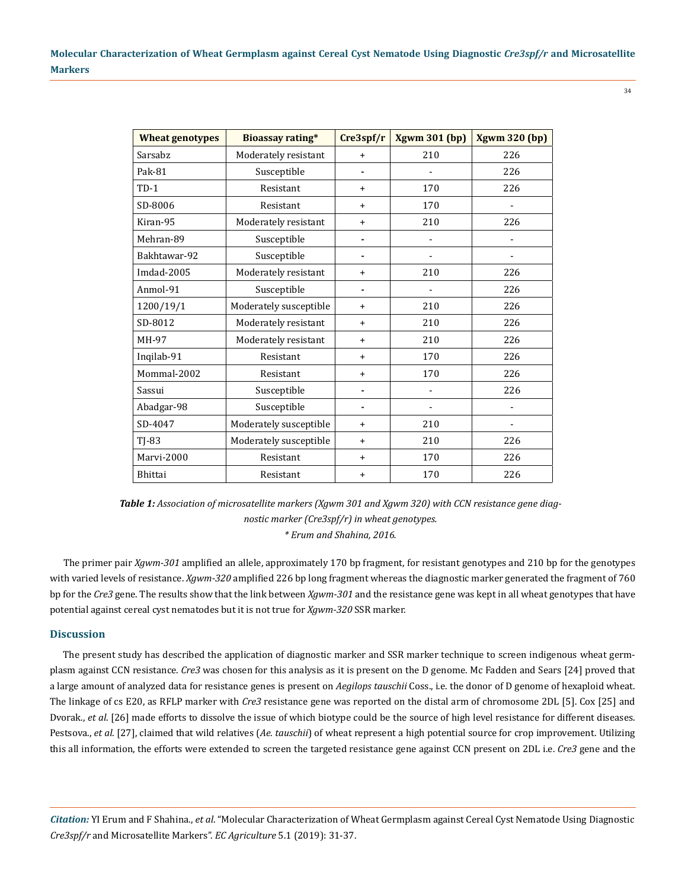34

| <b>Wheat genotypes</b> | <b>Bioassay rating*</b> | Cre3spf/r | <b>Xgwm 301 (bp)</b> | <b>Xgwm 320 (bp)</b> |
|------------------------|-------------------------|-----------|----------------------|----------------------|
| Sarsabz                | Moderately resistant    | $\ddot{}$ | 210                  | 226                  |
| Pak-81                 | Susceptible             |           |                      | 226                  |
| $TD-1$                 | Resistant               | $\ddot{}$ | 170                  | 226                  |
| SD-8006                | Resistant               | $\ddot{}$ | 170                  |                      |
| Kiran-95               | Moderately resistant    | $+$       | 210                  | 226                  |
| Mehran-89              | Susceptible             |           |                      |                      |
| Bakhtawar-92           | Susceptible             | ۰         |                      |                      |
| Imdad-2005             | Moderately resistant    | $\ddot{}$ | 210                  | 226                  |
| Anmol-91               | Susceptible             | ÷         |                      | 226                  |
| 1200/19/1              | Moderately susceptible  | $+$       | 210                  | 226                  |
| SD-8012                | Moderately resistant    | $+$       | 210                  | 226                  |
| MH-97                  | Moderately resistant    | $+$       | 210                  | 226                  |
| Inqilab-91             | Resistant               | $\ddot{}$ | 170                  | 226                  |
| Mommal-2002            | Resistant               | $\ddot{}$ | 170                  | 226                  |
| Sassui                 | Susceptible             |           |                      | 226                  |
| Abadgar-98             | Susceptible             |           |                      |                      |
| SD-4047                | Moderately susceptible  | $\ddot{}$ | 210                  | ۰                    |
| $TI-83$                | Moderately susceptible  | $+$       | 210                  | 226                  |
| Marvi-2000             | Resistant               | $\ddot{}$ | 170                  | 226                  |
| Bhittai                | Resistant               | $\ddot{}$ | 170                  | 226                  |

*Table 1: Association of microsatellite markers (Xgwm 301 and Xgwm 320) with CCN resistance gene diagnostic marker (Cre3spf/r) in wheat genotypes. \* Erum and Shahina, 2016.*

The primer pair *Xgwm-301* amplified an allele, approximately 170 bp fragment, for resistant genotypes and 210 bp for the genotypes with varied levels of resistance. *Xgwm-320* amplified 226 bp long fragment whereas the diagnostic marker generated the fragment of 760 bp for the *Cre3* gene. The results show that the link between *Xgwm-301* and the resistance gene was kept in all wheat genotypes that have potential against cereal cyst nematodes but it is not true for *Xgwm-320* SSR marker.

## **Discussion**

The present study has described the application of diagnostic marker and SSR marker technique to screen indigenous wheat germplasm against CCN resistance. *Cre3* was chosen for this analysis as it is present on the D genome. Mc Fadden and Sears [24] proved that a large amount of analyzed data for resistance genes is present on *Aegilops tauschii* Coss., i.e. the donor of D genome of hexaploid wheat. The linkage of cs E20, as RFLP marker with *Cre3* resistance gene was reported on the distal arm of chromosome 2DL [5]. Cox [25] and Dvorak., *et al*. [26] made efforts to dissolve the issue of which biotype could be the source of high level resistance for different diseases. Pestsova., *et al*. [27], claimed that wild relatives (*Ae. tauschii*) of wheat represent a high potential source for crop improvement. Utilizing this all information, the efforts were extended to screen the targeted resistance gene against CCN present on 2DL i.e. *Cre3* gene and the

*Citation:* YI Erum and F Shahina., *et al*. "Molecular Characterization of Wheat Germplasm against Cereal Cyst Nematode Using Diagnostic *Cre3spf/r* and Microsatellite Markers". *EC Agriculture* 5.1 (2019): 31-37.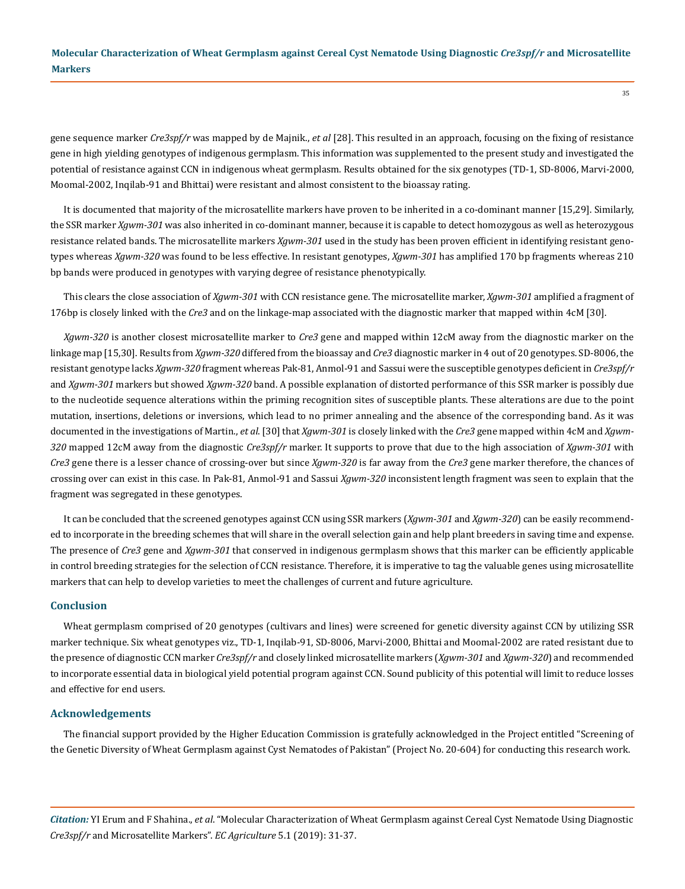gene sequence marker *Cre3spf/r* was mapped by de Majnik., *et al* [28]. This resulted in an approach, focusing on the fixing of resistance gene in high yielding genotypes of indigenous germplasm. This information was supplemented to the present study and investigated the potential of resistance against CCN in indigenous wheat germplasm. Results obtained for the six genotypes (TD-1, SD-8006, Marvi-2000, Moomal-2002, Inqilab-91 and Bhittai) were resistant and almost consistent to the bioassay rating.

It is documented that majority of the microsatellite markers have proven to be inherited in a co-dominant manner [15,29]. Similarly, the SSR marker *Xgwm-301* was also inherited in co-dominant manner, because it is capable to detect homozygous as well as heterozygous resistance related bands. The microsatellite markers *Xgwm-301* used in the study has been proven efficient in identifying resistant genotypes whereas *Xgwm-320* was found to be less effective. In resistant genotypes, *Xgwm-301* has amplified 170 bp fragments whereas 210 bp bands were produced in genotypes with varying degree of resistance phenotypically.

This clears the close association of *Xgwm-301* with CCN resistance gene. The microsatellite marker, *Xgwm-301* amplified a fragment of 176bp is closely linked with the *Cre3* and on the linkage-map associated with the diagnostic marker that mapped within 4cM [30].

*Xgwm-320* is another closest microsatellite marker to *Cre3* gene and mapped within 12cM away from the diagnostic marker on the linkage map [15,30]. Results from *Xgwm-320* differed from the bioassay and *Cre3* diagnostic marker in 4 out of 20 genotypes. SD-8006, the resistant genotype lacks *Xgwm-320* fragment whereas Pak-81, Anmol-91 and Sassui were the susceptible genotypes deficient in *Cre3spf/r* and *Xgwm-301* markers but showed *Xgwm-320* band. A possible explanation of distorted performance of this SSR marker is possibly due to the nucleotide sequence alterations within the priming recognition sites of susceptible plants. These alterations are due to the point mutation, insertions, deletions or inversions, which lead to no primer annealing and the absence of the corresponding band. As it was documented in the investigations of Martin., *et al*. [30] that *Xgwm-301* is closely linked with the *Cre3* gene mapped within 4cM and *Xgwm-320* mapped 12cM away from the diagnostic *Cre3spf/r* marker. It supports to prove that due to the high association of *Xgwm-301* with *Cre3* gene there is a lesser chance of crossing-over but since *Xgwm-320* is far away from the *Cre3* gene marker therefore, the chances of crossing over can exist in this case. In Pak-81, Anmol-91 and Sassui *Xgwm-320* inconsistent length fragment was seen to explain that the fragment was segregated in these genotypes.

It can be concluded that the screened genotypes against CCN using SSR markers (*Xgwm-301* and *Xgwm-320*) can be easily recommended to incorporate in the breeding schemes that will share in the overall selection gain and help plant breeders in saving time and expense. The presence of *Cre3* gene and *Xgwm-301* that conserved in indigenous germplasm shows that this marker can be efficiently applicable in control breeding strategies for the selection of CCN resistance. Therefore, it is imperative to tag the valuable genes using microsatellite markers that can help to develop varieties to meet the challenges of current and future agriculture.

#### **Conclusion**

Wheat germplasm comprised of 20 genotypes (cultivars and lines) were screened for genetic diversity against CCN by utilizing SSR marker technique. Six wheat genotypes viz., TD-1, Inqilab-91, SD-8006, Marvi-2000, Bhittai and Moomal-2002 are rated resistant due to the presence of diagnostic CCN marker *Cre3spf/r* and closely linked microsatellite markers (*Xgwm-301* and *Xgwm-320*) and recommended to incorporate essential data in biological yield potential program against CCN. Sound publicity of this potential will limit to reduce losses and effective for end users.

#### **Acknowledgements**

The financial support provided by the Higher Education Commission is gratefully acknowledged in the Project entitled "Screening of the Genetic Diversity of Wheat Germplasm against Cyst Nematodes of Pakistan" (Project No. 20-604) for conducting this research work.

*Citation:* YI Erum and F Shahina., *et al*. "Molecular Characterization of Wheat Germplasm against Cereal Cyst Nematode Using Diagnostic *Cre3spf/r* and Microsatellite Markers". *EC Agriculture* 5.1 (2019): 31-37.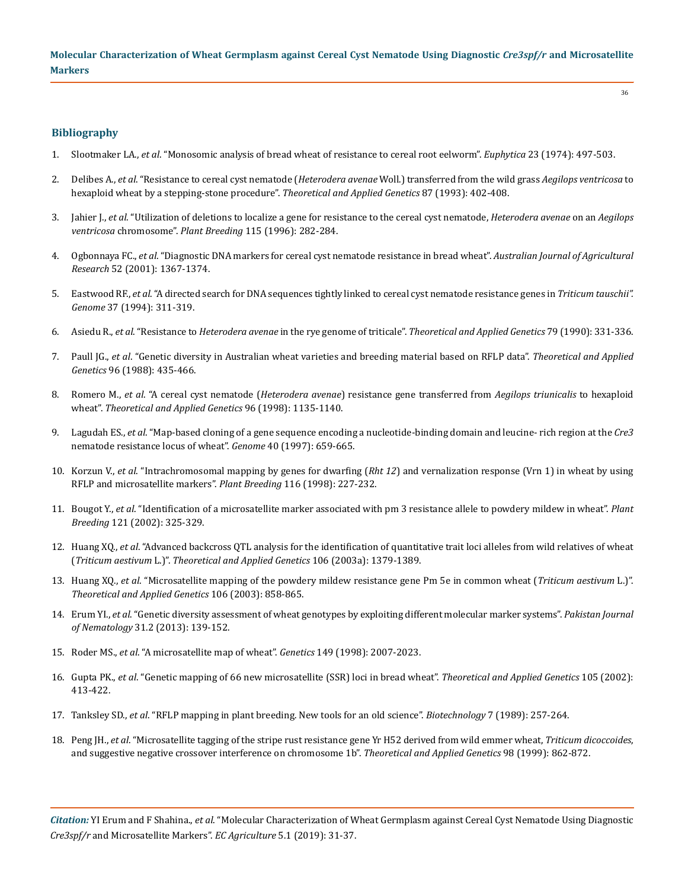## **Bibliography**

- 1. Slootmaker LA., *et al*[. "Monosomic analysis of bread wheat of resistance to cereal root eelworm".](https://link.springer.com/article/10.1007/BF00022470) *Euphytica* 23 (1974): 497-503.
- 2. Delibes A., *et al*. "Resistance to cereal cyst nematode (*Heterodera avenae* [Woll.\) transferred from the wild grass](https://link.springer.com/article/10.1007/BF01184930) *Aegilops ventricosa* to [hexaploid wheat by a stepping-stone procedure".](https://link.springer.com/article/10.1007/BF01184930) *Theoretical and Applied Genetics* 87 (1993): 402-408.
- 3. Jahier J., *et al*[. "Utilization of deletions to localize a gene for resistance to the cereal cyst nematode,](https://onlinelibrary.wiley.com/doi/abs/10.1111/j.1439-0523.1996.tb00919.x) *Heterodera avenae* on an *Aegilops ventricosa* chromosome". *Plant Breeding* [115 \(1996\): 282-284.](https://onlinelibrary.wiley.com/doi/abs/10.1111/j.1439-0523.1996.tb00919.x)
- 4. Ogbonnaya FC., *et al*[. "Diagnostic DNA markers for cereal cyst nematode resistance in bread wheat".](https://www.researchgate.net/publication/263003735_Diagnostic_DNA_markers_for_cereal_cyst_nematode_resistance_in_bread_wheat) *Australian Journal of Agricultural Research* [52 \(2001\): 1367-1374.](https://www.researchgate.net/publication/263003735_Diagnostic_DNA_markers_for_cereal_cyst_nematode_resistance_in_bread_wheat)
- 5. Eastwood RF., *et al*[. "A directed search for DNA sequences tightly linked to cereal cyst nematode resistance genes in](https://www.ncbi.nlm.nih.gov/pubmed/18470078) *Triticum tauschii". Genome* [37 \(1994\): 311-319.](https://www.ncbi.nlm.nih.gov/pubmed/18470078)
- 6. Asiedu R., *et al*. "Resistance to *Heterodera avenae* in the rye genome of triticale". *[Theoretical and Applied Genetics](https://link.springer.com/article/10.1007/BF01186075)* 79 (1990): 331-336.
- 7. Paull JG., *et al*[. "Genetic diversity in Australian wheat varieties and breeding material based on RFLP data".](https://www.ncbi.nlm.nih.gov/pubmed/24710883) *Theoretical and Applied Genetics* [96 \(1988\): 435-466.](https://www.ncbi.nlm.nih.gov/pubmed/24710883)
- 8. Romero M., *et al*. "A cereal cyst nematode (*Heterodera avenae*[\) resistance gene transferred from](https://www.ncbi.nlm.nih.gov/pubmed/24190269) *Aegilops triunicalis* to hexaploid wheat". *[Theoretical and Applied Genetics](https://www.ncbi.nlm.nih.gov/pubmed/24190269)* 96 (1998): 1135-1140.
- 9. Lagudah ES., *et al*[. "Map-based cloning of a gene sequence encoding a nucleotide-binding domain and leucine- rich region at the](https://www.ncbi.nlm.nih.gov/pubmed/9352645) *Cre3* [nematode resistance locus of wheat".](https://www.ncbi.nlm.nih.gov/pubmed/9352645) *Genome* 40 (1997): 659-665.
- 10. Korzun V., *et al*. "Intrachromosomal mapping by genes for dwarfing (*Rht 12*[\) and vernalization response \(Vrn 1\) in wheat by using](https://onlinelibrary.wiley.com/doi/abs/10.1111/j.1439-0523.1997.tb00987.x) [RFLP and microsatellite markers".](https://onlinelibrary.wiley.com/doi/abs/10.1111/j.1439-0523.1997.tb00987.x) *Plant Breeding* 116 (1998): 227-232.
- 11. Bougot Y., *et al*[. "Identification of a microsatellite marker associated with pm 3 resistance allele to powdery mildew in wheat".](https://onlinelibrary.wiley.com/doi/abs/10.1046/j.1439-0523.2002.736127.x) *Plant Breeding* [121 \(2002\): 325-329.](https://onlinelibrary.wiley.com/doi/abs/10.1046/j.1439-0523.2002.736127.x)
- 12. Huang XQ., *et al*[. "Advanced backcross QTL analysis for the identification of quantitative trait loci alleles from wild relatives of wheat](https://link.springer.com/article/10.1007/s00122-002-1179-7) (*Triticum aestivum* L.)". *[Theoretical and Applied Genetics](https://link.springer.com/article/10.1007/s00122-002-1179-7)* 106 (2003a): 1379-1389.
- 13. Huang XQ., *et al*[. "Microsatellite mapping of the powdery mildew resistance gene Pm 5e in common wheat \(](https://www.ncbi.nlm.nih.gov/pubmed/12647060)*Triticum aestivum* L.)". *[Theoretical and Applied Genetics](https://www.ncbi.nlm.nih.gov/pubmed/12647060)* 106 (2003): 858-865.
- 14. Erum YI., *et al*. "Genetic diversity assessment of wheat genotypes by exploiting different molecular marker systems". *Pakistan Journal of Nematology* 31.2 (2013): 139-152.
- 15. Roder MS., *et al*[. "A microsatellite map of wheat".](http://www.genetics.org/content/149/4/2007) *Genetics* 149 (1998): 2007-2023.
- 16. Gupta PK., *et al*[. "Genetic mapping of 66 new microsatellite \(SSR\) loci in bread wheat".](https://www.ncbi.nlm.nih.gov/pubmed/12582546) *Theoretical and Applied Genetics* 105 (2002): [413-422.](https://www.ncbi.nlm.nih.gov/pubmed/12582546)
- 17. Tanksley SD., *et al*[. "RFLP mapping in plant breeding. New tools for an old science".](https://www.nature.com/articles/nbt0389-257) *Biotechnology* 7 (1989): 257-264.
- 18. Peng JH., *et al*[. "Microsatellite tagging of the stripe rust resistance gene Yr H52 derived from wild emmer wheat,](https://www.researchgate.net/publication/225814547_Microsatellite_tagging_of_the_stripe-rust_resistance_gene_YrH52_derived_from_wild_emmer_wheat_Triticum_dicoccoides_and_suggestive_negative_crossover_interference_on_chromosome_1B) *Triticum dicoccoides*, [and suggestive negative crossover interference on chromosome 1b".](https://www.researchgate.net/publication/225814547_Microsatellite_tagging_of_the_stripe-rust_resistance_gene_YrH52_derived_from_wild_emmer_wheat_Triticum_dicoccoides_and_suggestive_negative_crossover_interference_on_chromosome_1B) *Theoretical and Applied Genetics* 98 (1999): 862-872.

*Citation:* YI Erum and F Shahina., *et al*. "Molecular Characterization of Wheat Germplasm against Cereal Cyst Nematode Using Diagnostic *Cre3spf/r* and Microsatellite Markers". *EC Agriculture* 5.1 (2019): 31-37.